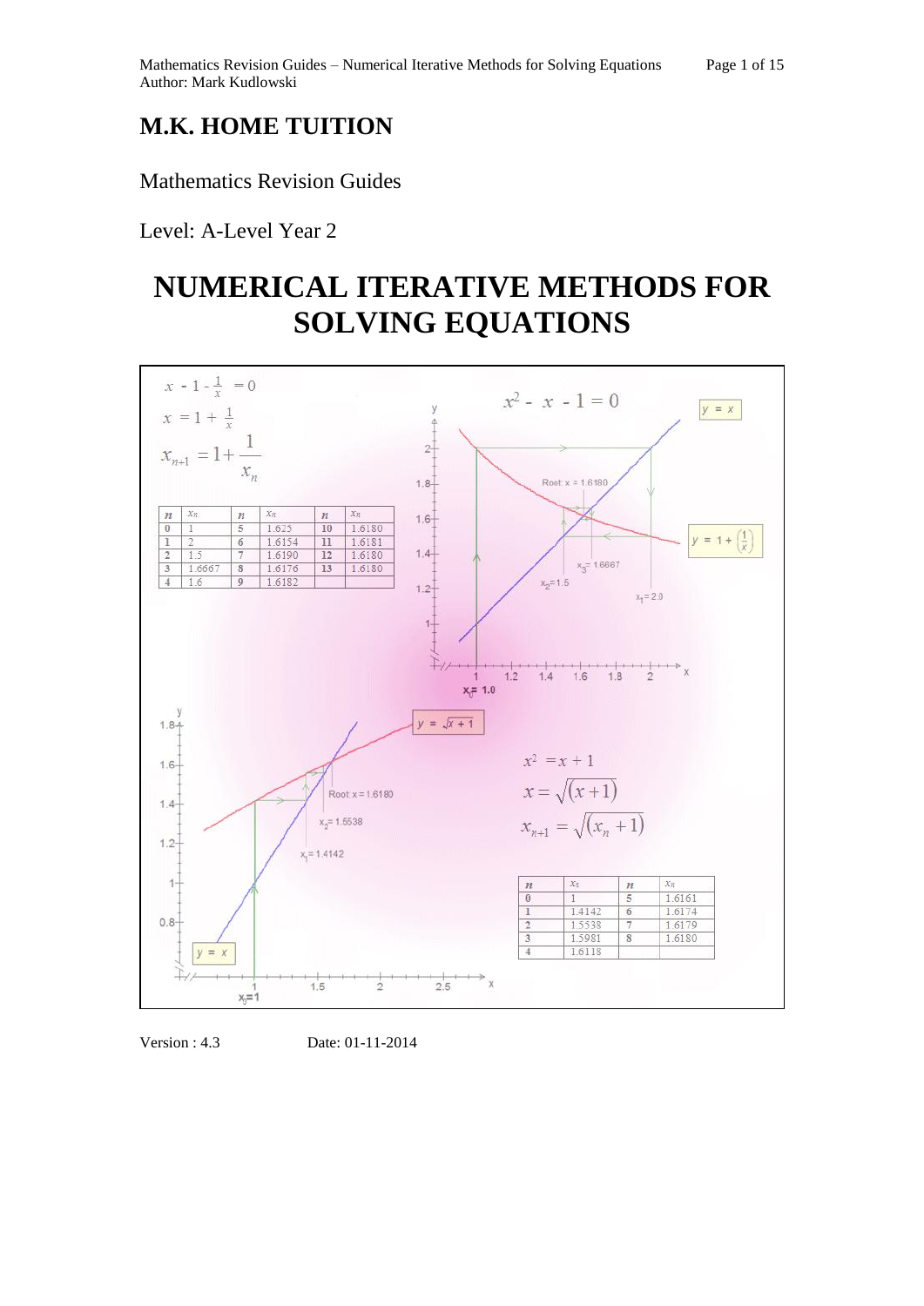## **M.K. HOME TUITION**

## Mathematics Revision Guides

Level: A-Level Year 2

# **NUMERICAL ITERATIVE METHODS FOR SOLVING EQUATIONS**



Version : 4.3 Date: 01-11-2014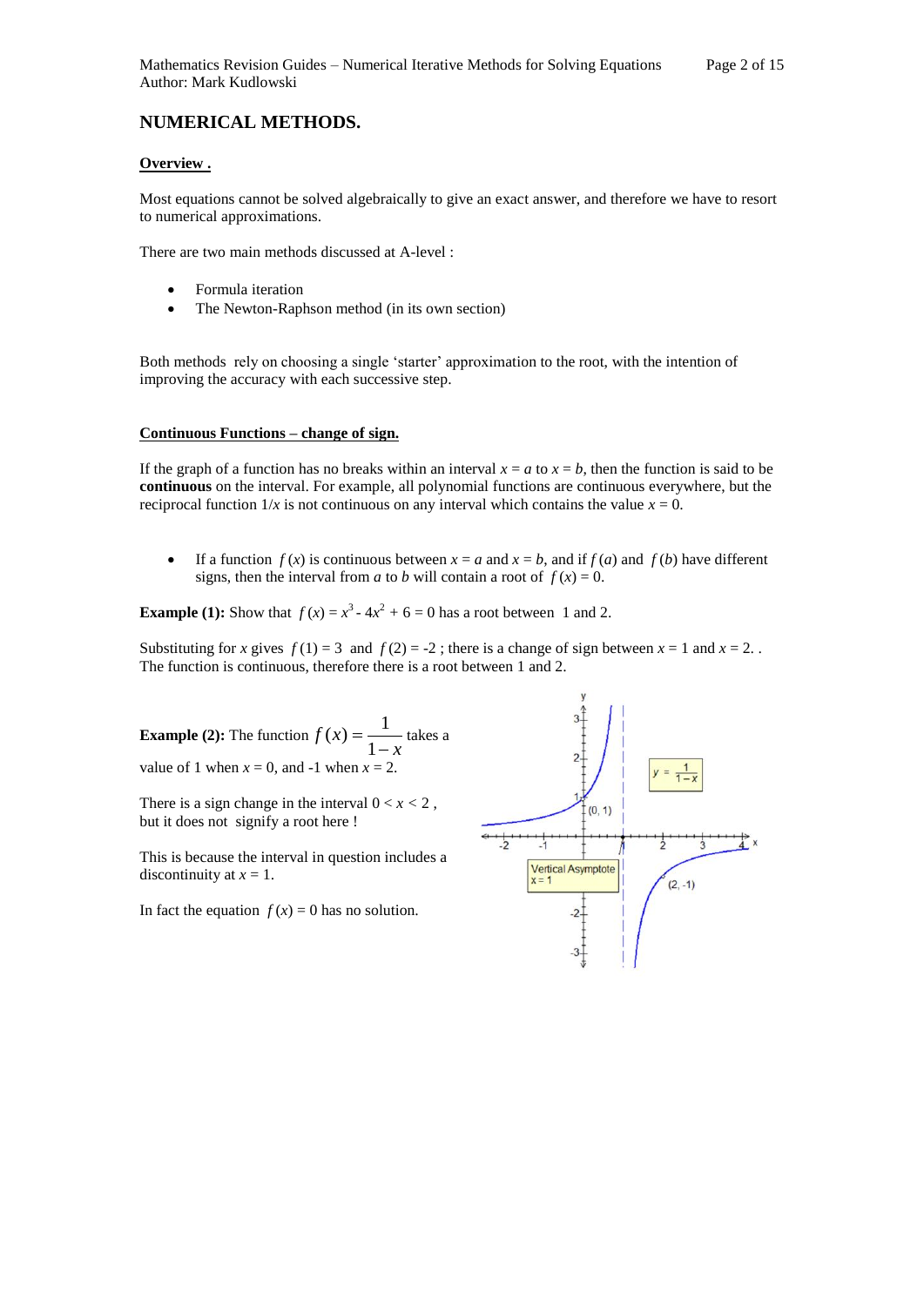### **NUMERICAL METHODS.**

#### **Overview .**

Most equations cannot be solved algebraically to give an exact answer, and therefore we have to resort to numerical approximations.

There are two main methods discussed at A-level :

- Formula iteration
- The Newton-Raphson method (in its own section)

Both methods rely on choosing a single 'starter' approximation to the root, with the intention of improving the accuracy with each successive step.

#### **Continuous Functions – change of sign.**

If the graph of a function has no breaks within an interval  $x = a$  to  $x = b$ , then the function is said to be **continuous** on the interval. For example, all polynomial functions are continuous everywhere, but the reciprocal function  $1/x$  is not continuous on any interval which contains the value  $x = 0$ .

If a function  $f(x)$  is continuous between  $x = a$  and  $x = b$ , and if  $f(a)$  and  $f(b)$  have different signs, then the interval from *a* to *b* will contain a root of  $f(x) = 0$ .

**Example (1):** Show that  $f(x) = x^3 - 4x^2 + 6 = 0$  has a root between 1 and 2.

Substituting for *x* gives  $f(1) = 3$  and  $f(2) = -2$ ; there is a change of sign between  $x = 1$  and  $x = 2$ . The function is continuous, therefore there is a root between 1 and 2.

**Example (2):** The function  $f(x) = \frac{1}{1-x}$ *f x*  $\overline{a}$  $=$ 1  $f(x) = \frac{1}{1}$  takes a value of 1 when  $x = 0$ , and -1 when  $x = 2$ .

There is a sign change in the interval  $0 < x < 2$ , but it does not signify a root here !

This is because the interval in question includes a discontinuity at  $x = 1$ .

In fact the equation  $f(x) = 0$  has no solution.

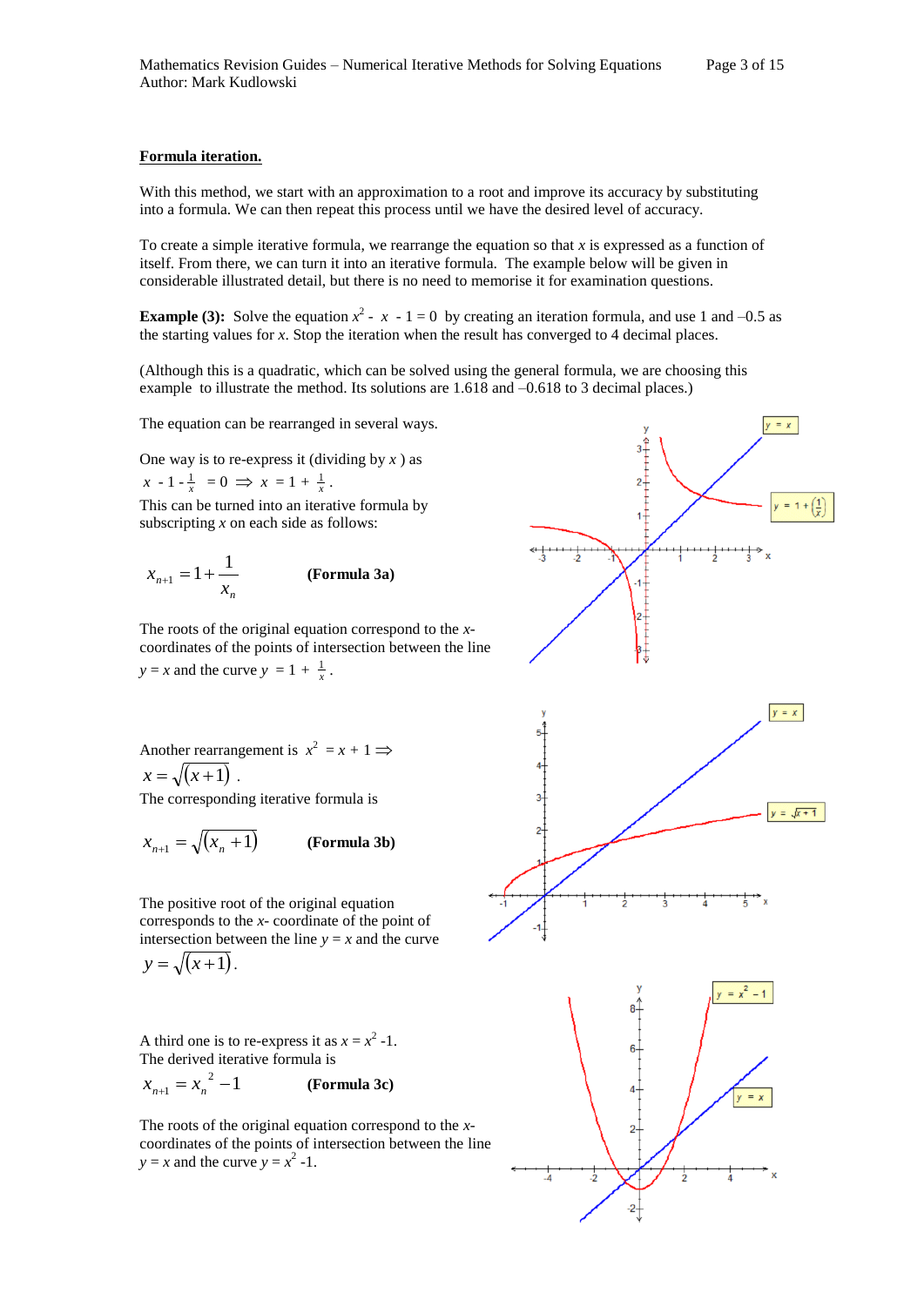#### **Formula iteration.**

With this method, we start with an approximation to a root and improve its accuracy by substituting into a formula. We can then repeat this process until we have the desired level of accuracy.

To create a simple iterative formula, we rearrange the equation so that *x* is expressed as a function of itself. From there, we can turn it into an iterative formula. The example below will be given in considerable illustrated detail, but there is no need to memorise it for examination questions.

**Example (3):** Solve the equation  $x^2 - x - 1 = 0$  by creating an iteration formula, and use 1 and -0.5 as the starting values for *x*. Stop the iteration when the result has converged to 4 decimal places.

(Although this is a quadratic, which can be solved using the general formula, we are choosing this example to illustrate the method. Its solutions are 1.618 and –0.618 to 3 decimal places.)

The equation can be rearranged in several ways.

One way is to re-express it (dividing by *x* ) as  $x - 1 - \frac{1}{x} = 0 \implies x = 1 + \frac{1}{x}$ .

This can be turned into an iterative formula by subscripting *x* on each side as follows:

$$
x_{n+1} = 1 + \frac{1}{x_n}
$$
 (Formula 3a)

The roots of the original equation correspond to the *x*coordinates of the points of intersection between the line  $y = x$  and the curve  $y = 1 + \frac{1}{x}$ .

Another rearrangement is 
$$
x^2 = x + 1 \implies x = \sqrt{x+1}
$$
.

The corresponding iterative formula is

$$
x_{n+1} = \sqrt{(x_n + 1)}
$$
 (Formula 3b)

The positive root of the original equation corresponds to the *x*- coordinate of the point of intersection between the line  $y = x$  and the curve  $y = \sqrt{(x+1)}$ .

A third one is to re-express it as  $x = x^2 - 1$ . The derived iterative formula is

$$
x_{n+1} = x_n^2 - 1
$$
 (Formula 3c)

The roots of the original equation correspond to the *x*coordinates of the points of intersection between the line  $y = x$  and the curve  $y = x^2 - 1$ .

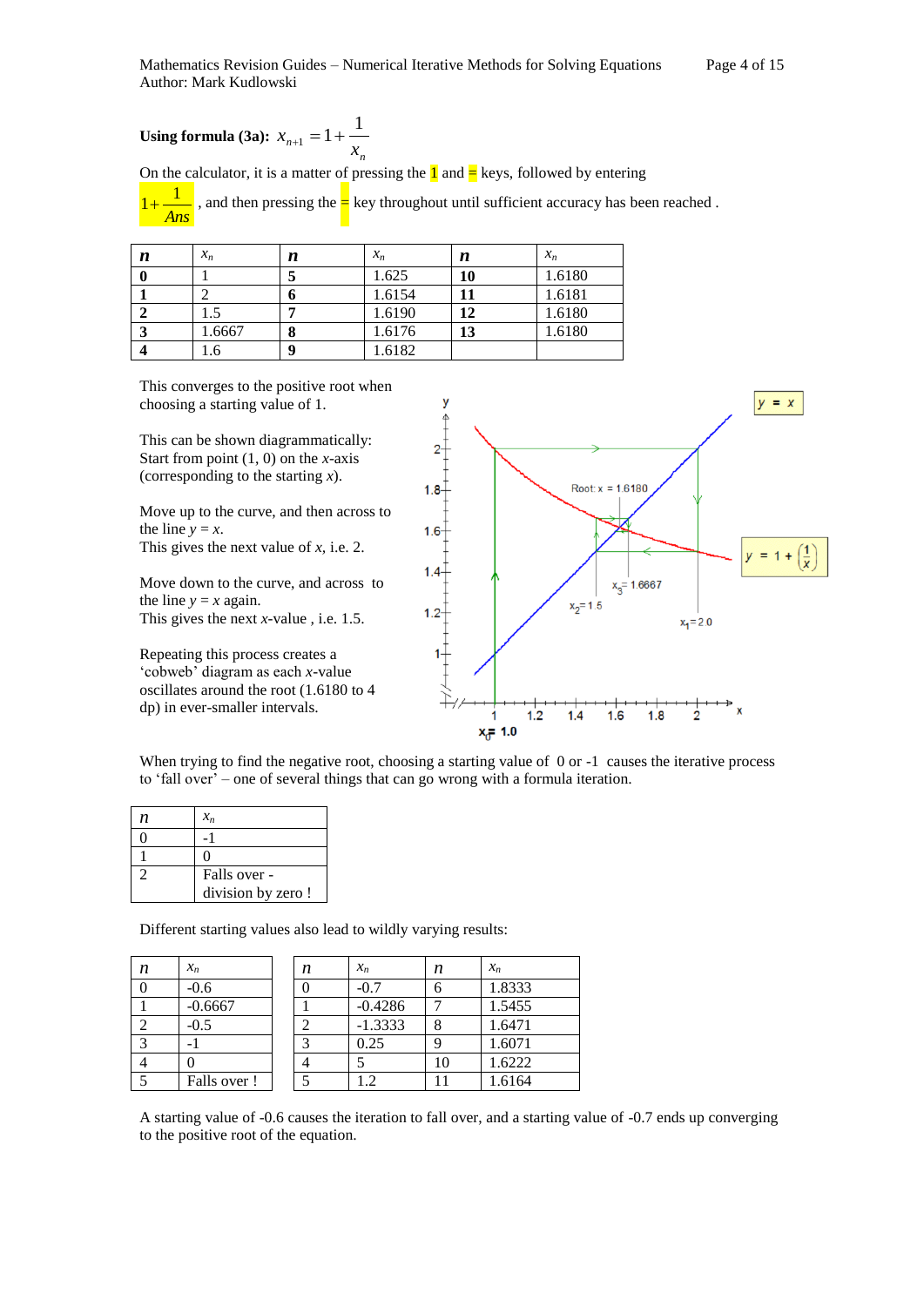**Using formula (3a):**  $n+1 - 1 - x$  $x_{n+1} = 1 + \frac{1}{n}$ 

On the calculator, it is a matter of pressing the  $\frac{1}{1}$  and  $\frac{1}{5}$  keys, followed by entering

*n*

*Ans* 1  $1+$ , and then pressing the  $\frac{1}{x}$  key throughout until sufficient accuracy has been reached.

| n | $x_n$           | n | $x_n$  | n  | $x_n$  |
|---|-----------------|---|--------|----|--------|
|   |                 |   | 1.625  | 10 | 1.6180 |
|   |                 |   | 1.6154 |    | 1.6181 |
|   | <sup>1</sup> .5 |   | 1.6190 | 12 | 1.6180 |
|   | 1.6667          |   | 1.6176 | 13 | 1.6180 |
|   | .6              | Λ | 1.6182 |    |        |

This converges to the positive root when choosing a starting value of 1.

This can be shown diagrammatically: Start from point (1, 0) on the *x*-axis (corresponding to the starting *x*).

Move up to the curve, and then across to the line  $y = x$ .

This gives the next value of *x,* i.e. 2.

Move down to the curve, and across to the line  $y = x$  again.

This gives the next *x-*value *,* i.e. 1.5.

Repeating this process creates a 'cobweb' diagram as each *x*-value oscillates around the root (1.6180 to 4 dp) in ever-smaller intervals.



When trying to find the negative root, choosing a starting value of 0 or -1 causes the iterative process to 'fall over' – one of several things that can go wrong with a formula iteration.

| n | $x_n$              |
|---|--------------------|
|   |                    |
|   |                    |
|   | Falls over -       |
|   | division by zero ! |

Different starting values also lead to wildly varying results:

| n | $x_n$       | n | $x_n$     | n  | $x_n$  |
|---|-------------|---|-----------|----|--------|
|   | $-0.6$      |   | $-0.7$    |    | 1.8333 |
|   | $-0.6667$   |   | $-0.4286$ |    | 1.5455 |
|   | $-0.5$      |   | $-1.3333$ |    | 1.6471 |
|   |             |   | 0.25      |    | 1.6071 |
|   |             |   |           | 10 | 1.6222 |
|   | Falls over! |   | .2        |    | 1.6164 |

A starting value of -0.6 causes the iteration to fall over, and a starting value of -0.7 ends up converging to the positive root of the equation.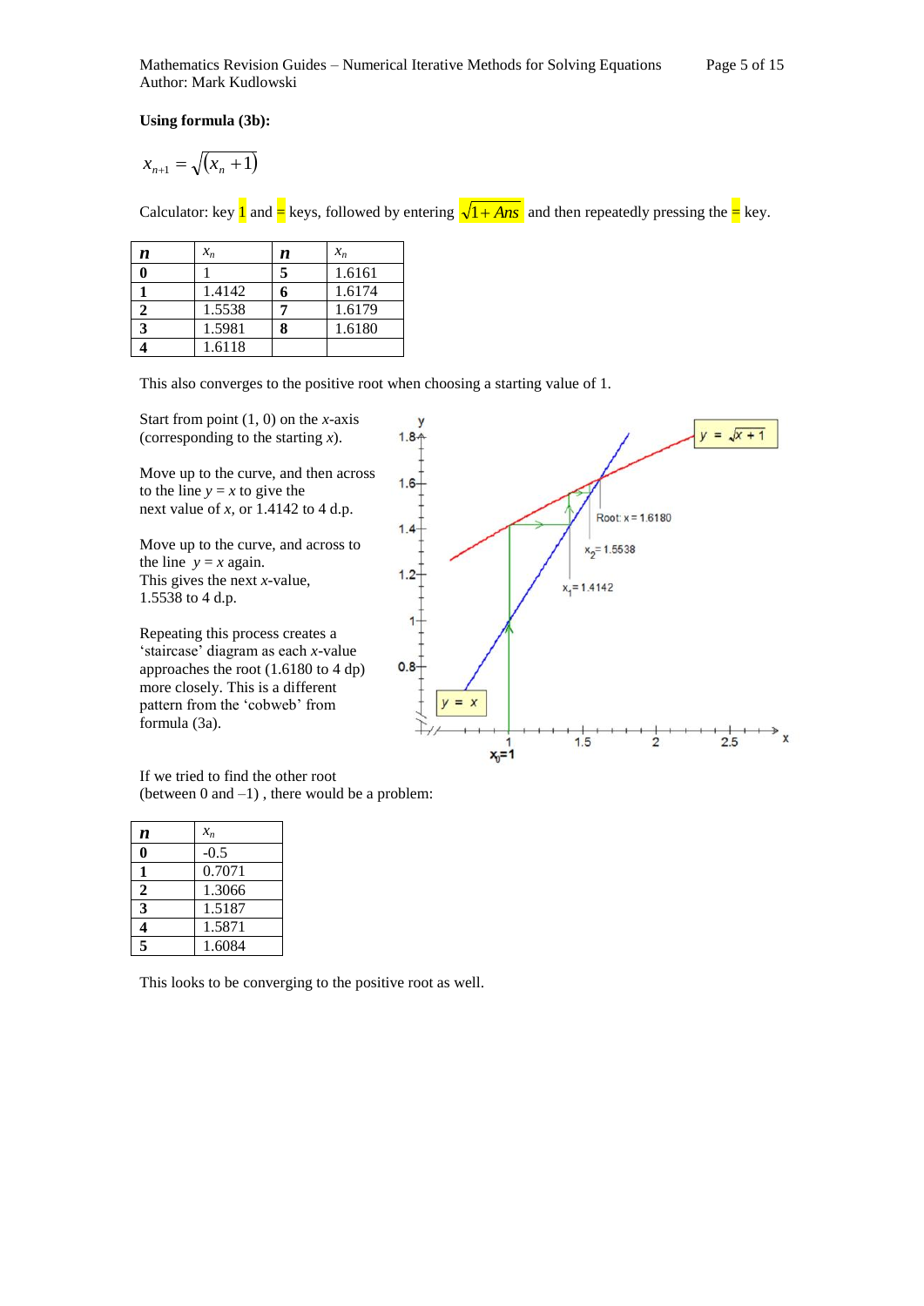Mathematics Revision Guides – Numerical Iterative Methods for Solving Equations Page 5 of 15 Author: Mark Kudlowski

**Using formula (3b):**

$$
x_{n+1} = \sqrt{(x_n + 1)}
$$

Calculator: key **1** and  $=$  keys, followed by entering  $\sqrt{1 + Ans}$  and then repeatedly pressing the  $=$  key.

| n | $x_n$  | n | $x_n$  |
|---|--------|---|--------|
|   |        | 5 | 1.6161 |
|   | 1.4142 |   | 1.6174 |
|   | 1.5538 |   | 1.6179 |
|   | 1.5981 |   | 1.6180 |
|   | 1.6118 |   |        |

This also converges to the positive root when choosing a starting value of 1.

Start from point (1, 0) on the *x*-axis (corresponding to the starting *x*).

Move up to the curve, and then across to the line  $y = x$  to give the next value of *x,* or 1.4142 to 4 d.p.

Move up to the curve, and across to the line  $y = x$  again. This gives the next *x-*value, 1.5538 to 4 d.p.

Repeating this process creates a 'staircase' diagram as each *x*-value approaches the root (1.6180 to 4 dp) more closely. This is a different pattern from the 'cobweb' from formula (3a).



If we tried to find the other root (between  $0$  and  $-1$ ), there would be a problem:

| n            | $x_n$  |
|--------------|--------|
| ı            | $-0.5$ |
| 1            | 0.7071 |
| $\mathbf{2}$ | 1.3066 |
| 3            | 1.5187 |
| 4            | 1.5871 |
| 5            | 1.6084 |

This looks to be converging to the positive root as well.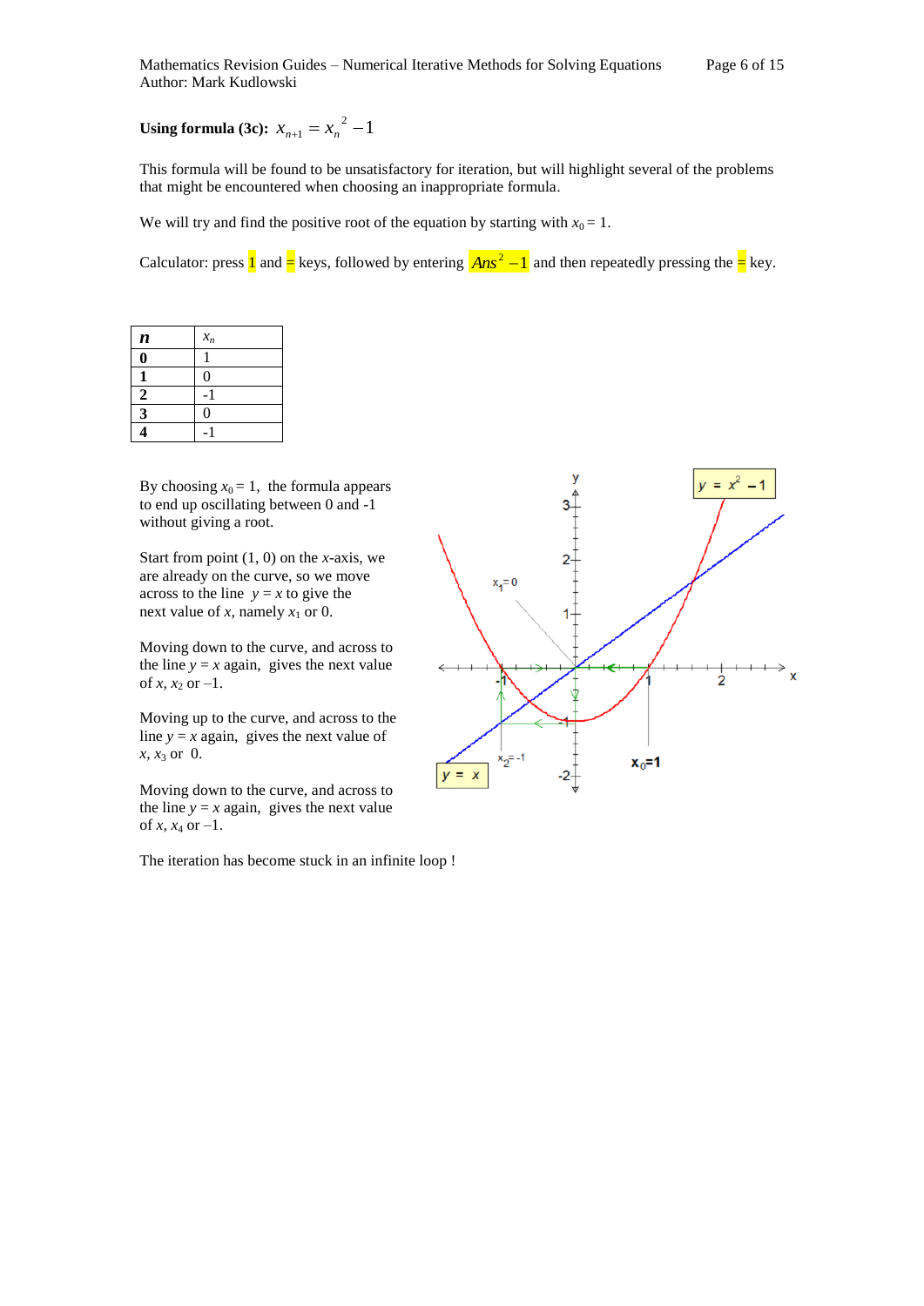## **Using formula (3c):**  $x_{n+1} = x_n^2 - 1$

This formula will be found to be unsatisfactory for iteration, but will highlight several of the problems that might be encountered when choosing an inappropriate formula.

We will try and find the positive root of the equation by starting with  $x_0 = 1$ .

Calculator: press  $\frac{1}{2}$  and  $\frac{1}{2}$  keys, followed by entering  $\frac{2Mn s^2 - 1}{2}$  and then repeatedly pressing the  $\frac{1}{2}$  key.

| $\boldsymbol{n}$        | $x_n$          |
|-------------------------|----------------|
| 0                       |                |
|                         | $\overline{0}$ |
| $\overline{2}$          |                |
| $\overline{\mathbf{3}}$ | $\theta$       |
|                         |                |

By choosing  $x_0 = 1$ , the formula appears to end up oscillating between 0 and -1 without giving a root.

Start from point (1, 0) on the *x*-axis, we are already on the curve, so we move across to the line  $y = x$  to give the next value of *x*, namely  $x_1$  or 0.

Moving down to the curve, and across to the line  $y = x$  again, gives the next value of *x*,  $x_2$  or  $-1$ .

Moving up to the curve, and across to the line  $y = x$  again, gives the next value of *x, x*<sup>3</sup> or 0.

Moving down to the curve, and across to the line  $y = x$  again, gives the next value of *x*,  $x_4$  or  $-1$ .

The iteration has become stuck in an infinite loop !

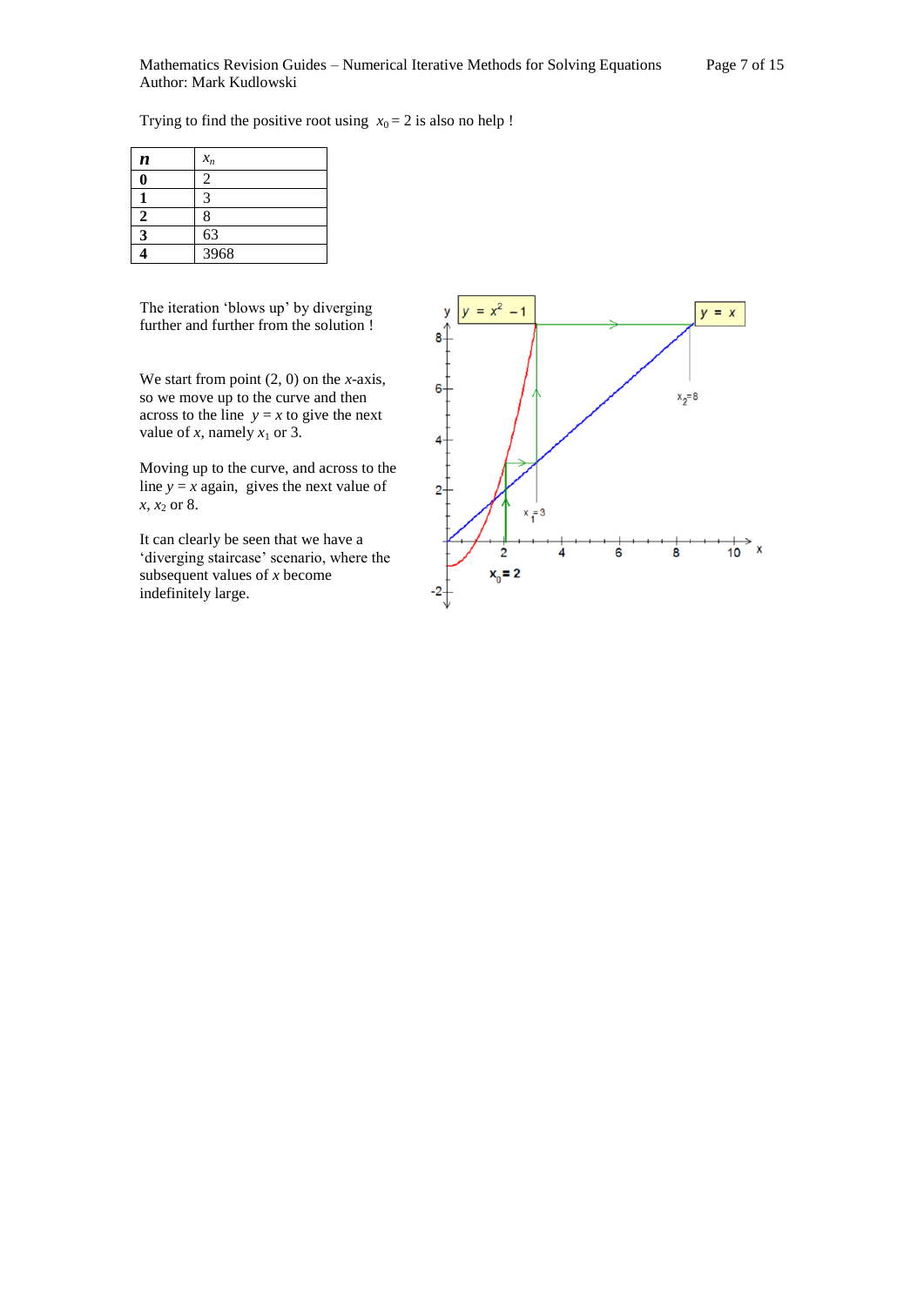Trying to find the positive root using  $x_0 = 2$  is also no help !

| $\boldsymbol{n}$ | $x_n$ |
|------------------|-------|
|                  | 2     |
|                  |       |
| 2                | 8     |
| $\mathbf{R}$     | 63    |
|                  | 3968  |

The iteration 'blows up' by diverging further and further from the solution !

We start from point (2, 0) on the *x*-axis, so we move up to the curve and then across to the line  $y = x$  to give the next value of *x*, namely  $x_1$  or 3.

Moving up to the curve, and across to the line  $y = x$  again, gives the next value of *x*, *x*<sub>2</sub> or 8.

It can clearly be seen that we have a 'diverging staircase' scenario, where the subsequent values of *x* become indefinitely large.

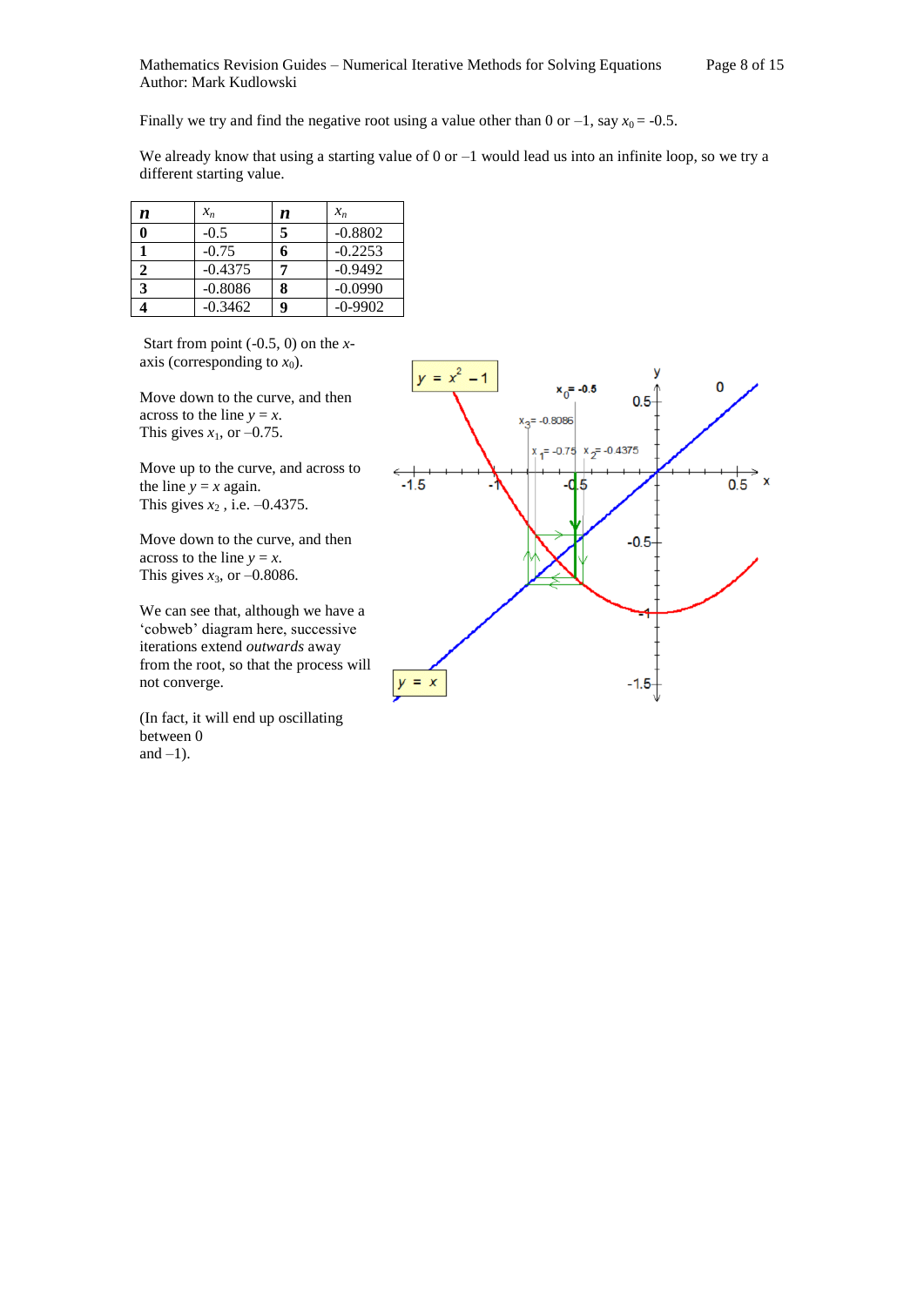Finally we try and find the negative root using a value other than 0 or  $-1$ , say  $x_0 = -0.5$ .

We already know that using a starting value of  $0$  or  $-1$  would lead us into an infinite loop, so we try a different starting value.

| n | $x_n$     | n | $x_n$     |
|---|-----------|---|-----------|
| 0 | $-0.5$    | 5 | $-0.8802$ |
|   | $-0.75$   | h | $-0.2253$ |
| 2 | $-0.4375$ | 7 | $-0.9492$ |
| 3 | $-0.8086$ | 8 | $-0.0990$ |
|   | $-0.3462$ | 9 | $-0-9902$ |

Start from point (-0.5, 0) on the *x*axis (corresponding to  $x_0$ ).

Move down to the curve, and then across to the line  $y = x$ . This gives  $x_1$ , or  $-0.75$ .

Move up to the curve, and across to the line  $y = x$  again. This gives  $x_2$ , i.e.  $-0.4375$ .

Move down to the curve, and then across to the line  $y = x$ . This gives  $x_3$ , or  $-0.8086$ .

We can see that, although we have a 'cobweb' diagram here, successive iterations extend *outwards* away from the root, so that the process will not converge.

(In fact, it will end up oscillating between 0 and  $-1$ ).

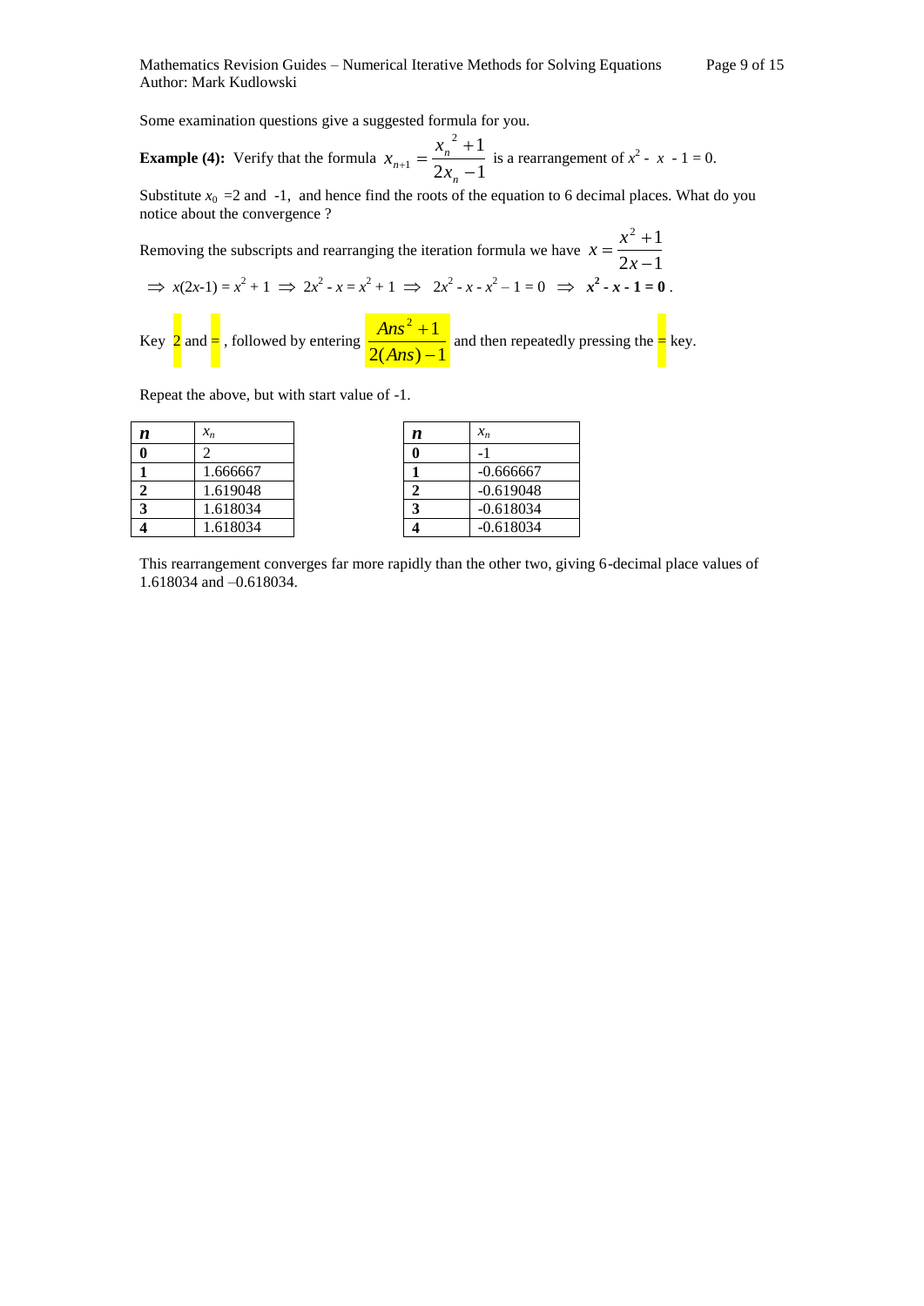Some examination questions give a suggested formula for you.

**Example (4):** Verify that the formula  $x_{n+1} = \frac{-n}{2x_n - 1}$  $^{2}+1$  $1-\frac{1}{2x_n}$  –  $\overline{+}$  $_{+1} =$ *n n*  $n+1$  –  $\frac{1}{2x}$  $x_{n+1} = \frac{x_n^2 + 1}{2}$  is a rearrangement of  $x^2 - x - 1 = 0$ .

Substitute  $x_0 = 2$  and  $-1$ , and hence find the roots of the equation to 6 decimal places. What do you notice about the convergence ?

Removing the subscripts and rearranging the iteration formula we have  $x = \frac{x^2 + 1}{2x - 1}$  $^{2}+1$  $\overline{a}$  $=\frac{x^2+1}{2}$ *x*  $x = \frac{x}{2}$  $\Rightarrow$   $x(2x-1) = x^2 + 1 \Rightarrow 2x^2 - x = x^2 + 1 \Rightarrow 2x^2 - x - x^2 - 1 = 0 \Rightarrow x^2 - x - 1 = 0$ .

Key  $2$  and  $=$  , followed by entering  $\frac{2(Ans) - 1}{2(Ans) - 1}$  $2^2+1$ ÷,  $\overline{+}$ *Ans*  $\frac{Ans^2+1}{3}$  and then repeatedly pressing the  $\frac{1}{3}$  key.

Repeat the above, but with start value of -1.

| n | $x_n$    | n | $x_n$       |
|---|----------|---|-------------|
|   |          |   |             |
|   | 1.666667 |   | $-0.666667$ |
|   | 1.619048 |   | $-0.619048$ |
|   | 1.618034 |   | $-0.618034$ |
|   | 1.618034 |   | $-0.618034$ |

| n | $x_n$    | n | $x_n$                    |
|---|----------|---|--------------------------|
| 0 |          |   | $\overline{\phantom{a}}$ |
|   | 1.666667 |   | $-0.666667$              |
| 2 | 1.619048 |   | $-0.619048$              |
| 3 | 1.618034 |   | $-0.618034$              |
| 4 | .618034  |   | $-0.618034$              |

This rearrangement converges far more rapidly than the other two, giving 6-decimal place values of 1.618034 and –0.618034.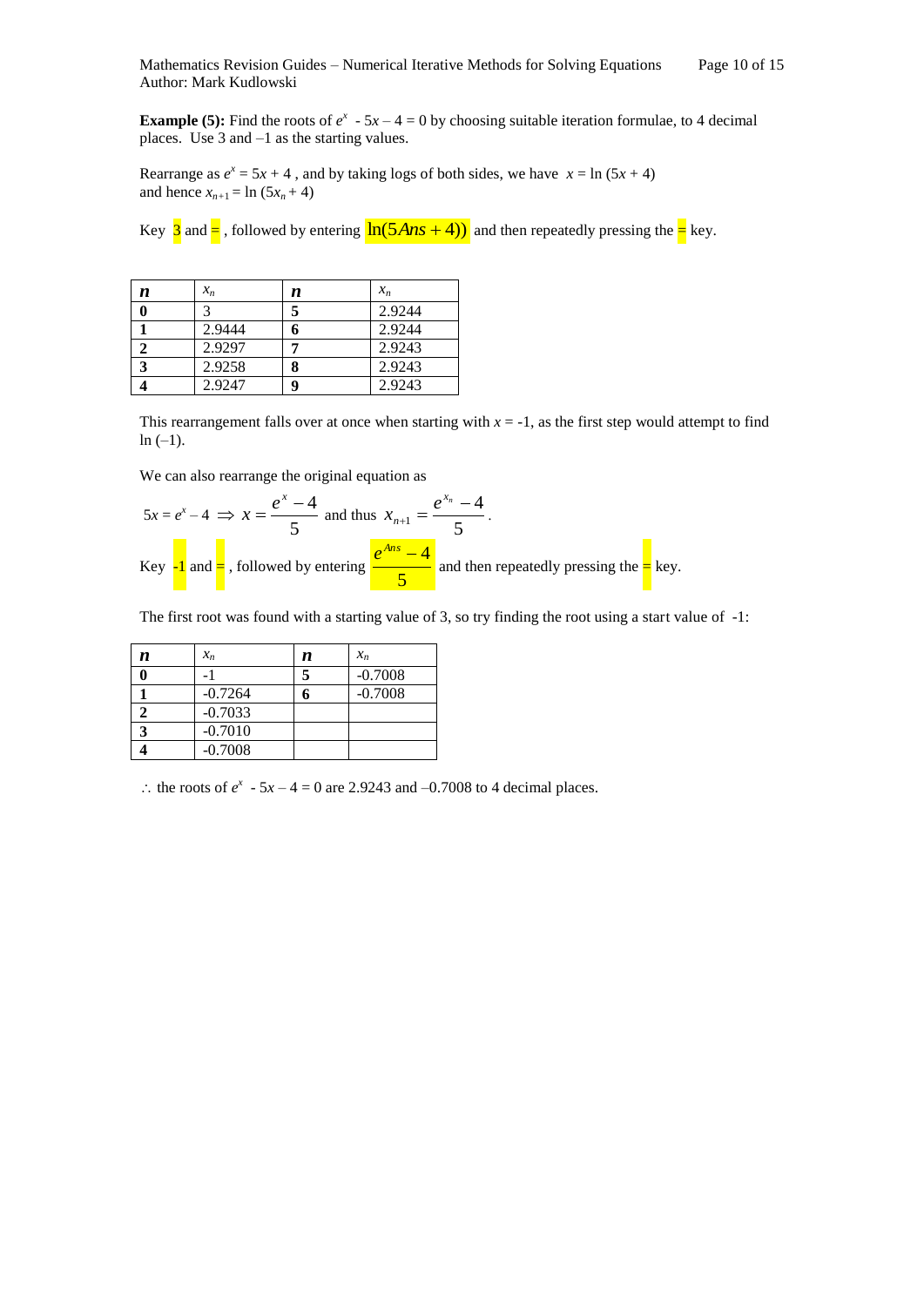**Example (5):** Find the roots of  $e^x - 5x - 4 = 0$  by choosing suitable iteration formulae, to 4 decimal places. Use 3 and –1 as the starting values.

Rearrange as  $e^x = 5x + 4$ , and by taking logs of both sides, we have  $x = \ln(5x + 4)$ and hence  $x_{n+1} = \ln (5x_n + 4)$ 

Key  $3$  and  $\equiv$ , followed by entering  $\ln(5Ans + 4)$  and then repeatedly pressing the  $\equiv$  key.

| n | $x_n$  | n | $x_n$  |
|---|--------|---|--------|
|   |        | 5 | 2.9244 |
|   | 2.9444 | 6 | 2.9244 |
|   | 2.9297 |   | 2.9243 |
| 3 | 2.9258 | 8 | 2.9243 |
|   | 2.9247 | q | 2.9243 |

This rearrangement falls over at once when starting with  $x = -1$ , as the first step would attempt to find  $ln (-1)$ .

We can also rearrange the original equation as

$$
5x = e^x - 4 \implies x = \frac{e^x - 4}{5} \text{ and thus } x_{n+1} = \frac{e^{x_n} - 4}{5}.
$$
  
Key  $\frac{1}{2}$  and  $\frac{1}{2}$ , followed by entering  $\frac{e^{Ans} - 4}{5}$  and then repeatedly pressing the  $\frac{1}{2}$  key.

The first root was found with a starting value of 3, so try finding the root using a start value of -1:

| n | $x_n$     | n | $x_n$     |
|---|-----------|---|-----------|
|   |           |   | $-0.7008$ |
|   | $-0.7264$ |   | $-0.7008$ |
|   | $-0.7033$ |   |           |
|   | $-0.7010$ |   |           |
|   | $-0.7008$ |   |           |

: the roots of  $e^x - 5x - 4 = 0$  are 2.9243 and  $-0.7008$  to 4 decimal places.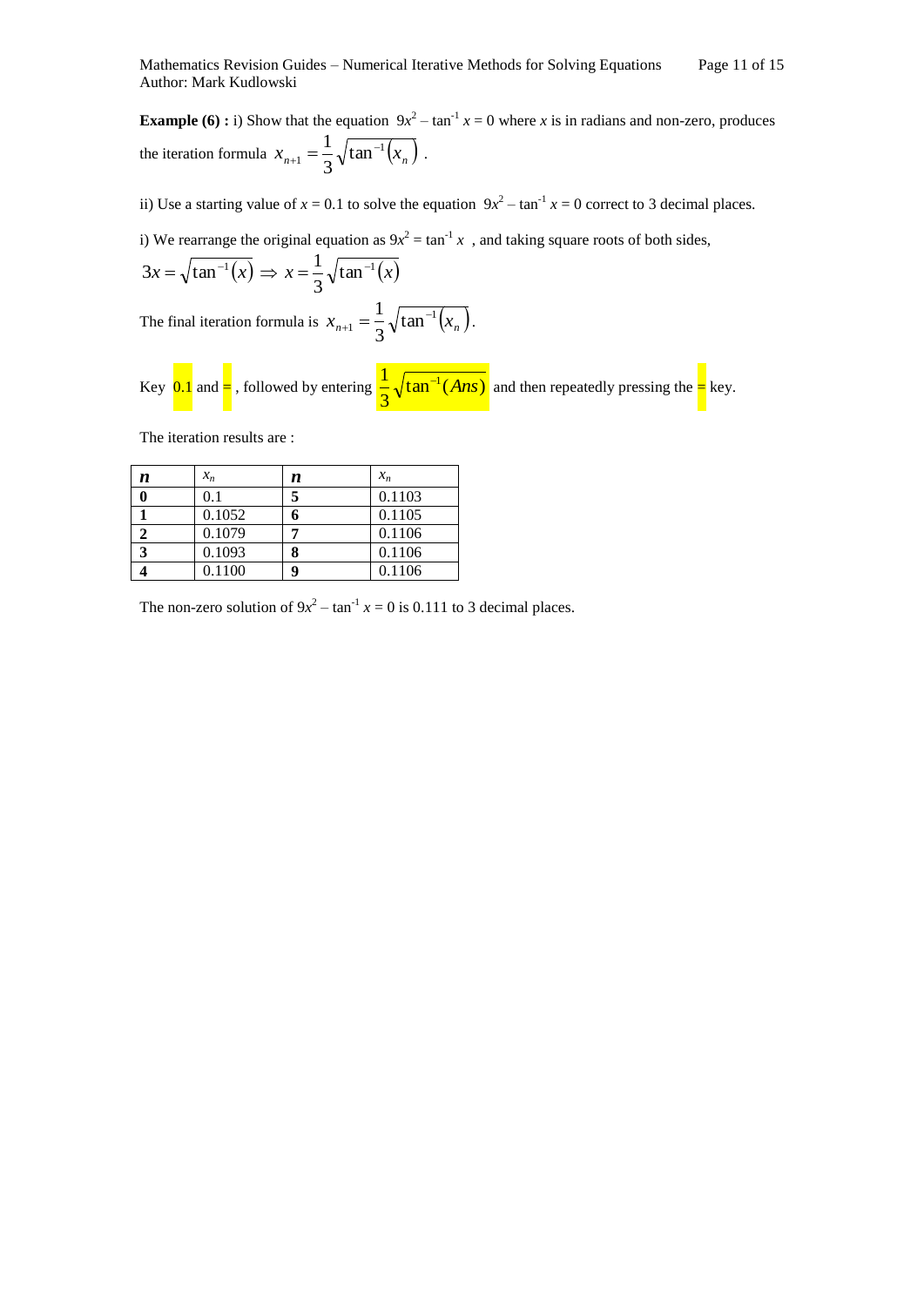**Example (6) :** i) Show that the equation  $9x^2 - \tan^{-1} x = 0$  where *x* is in radians and non-zero, produces the iteration formula  $x_{n+1} = \frac{1}{2} \sqrt{\tan^{-1}(x_n)}$  $t_1 = \frac{1}{2} \sqrt{\tan \theta}$ 3  $1 \sqrt{1-\frac{1}{2}}$  $t_{+1} = \frac{1}{2} \sqrt{\tan^{-1}(x_n)}$ .

ii) Use a starting value of  $x = 0.1$  to solve the equation  $9x^2 - \tan^{-1} x = 0$  correct to 3 decimal places.

i) We rearrange the original equation as  $9x^2 = \tan^{-1} x$ , and taking square roots of both sides,

$$
3x = \sqrt{\tan^{-1}(x)} \Rightarrow x = \frac{1}{3}\sqrt{\tan^{-1}(x)}
$$

The final iteration formula is  $x_{n+1} = \frac{1}{2} \sqrt{\tan^{-1}(x_n)}$  $t_1 = \frac{1}{2} \sqrt{\tan \theta}$ 3  $1 \sqrt{\frac{1}{\tan^{-1}}$  $t_{+1} = \frac{1}{2} \sqrt{\tan^{-1}(x_n)}.$ 

Key  $\overline{0.1}$  and  $\equiv$ , followed by entering  $\frac{1}{2}\sqrt{\tan^{-1}(Ans)}$ 3  $\frac{1}{2} \sqrt{\tan^{-1}(Ans)}$  and then repeatedly pressing the  $=$  key.

The iteration results are :

| n | $x_n$  | n | $x_n$  |
|---|--------|---|--------|
|   | 0.1    | 5 | 0.1103 |
|   | 0.1052 |   | 0.1105 |
|   | 0.1079 |   | 0.1106 |
| 3 | 0.1093 |   | 0.1106 |
|   | 0.1100 | 9 | 0.1106 |

The non-zero solution of  $9x^2 - \tan^{-1} x = 0$  is 0.111 to 3 decimal places.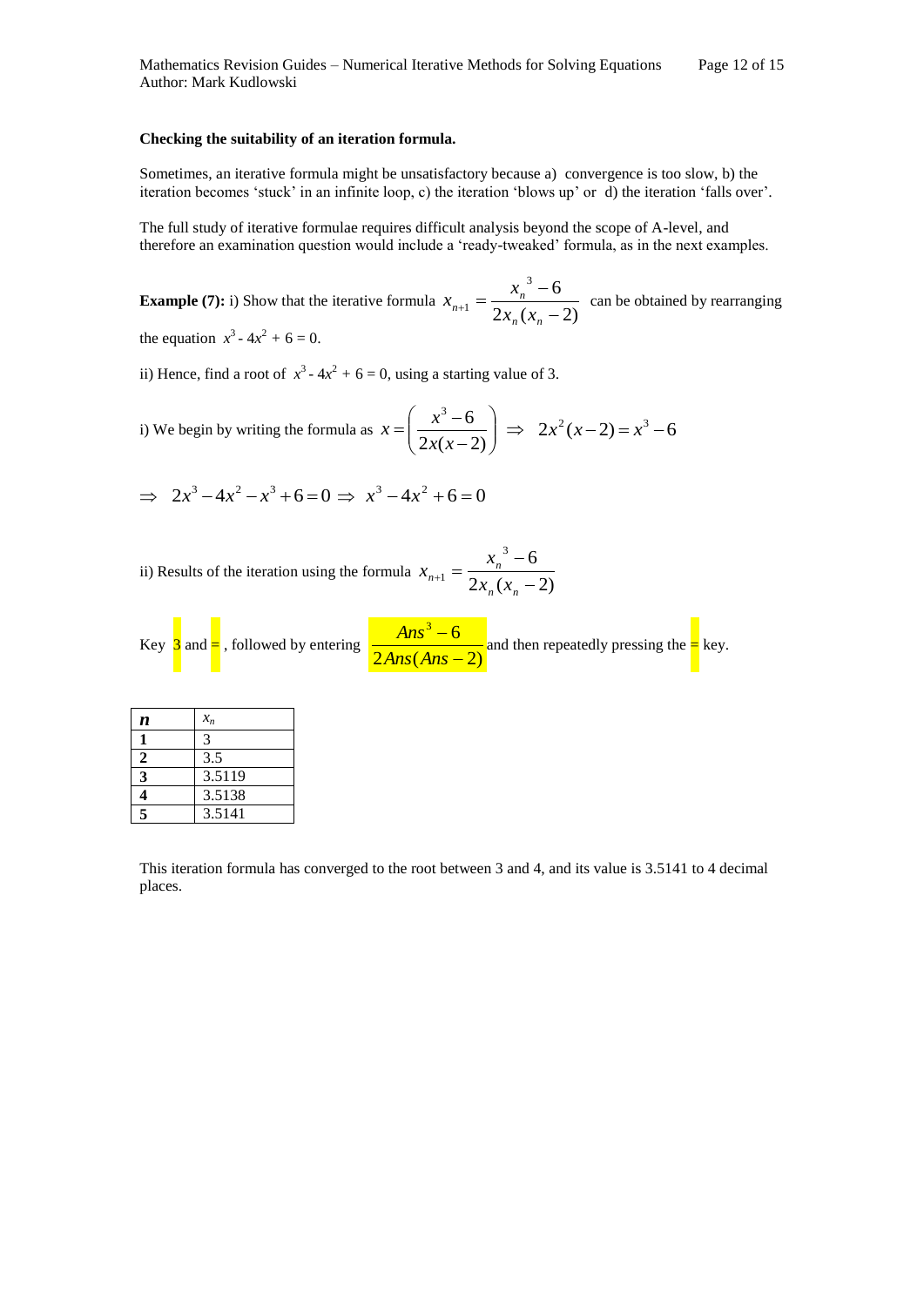#### **Checking the suitability of an iteration formula.**

Sometimes, an iterative formula might be unsatisfactory because a) convergence is too slow, b) the iteration becomes 'stuck' in an infinite loop, c) the iteration 'blows up' or d) the iteration 'falls over'.

The full study of iterative formulae requires difficult analysis beyond the scope of A-level, and therefore an examination question would include a 'ready-tweaked' formula, as in the next examples.

**Example (7):** i) Show that the iterative formula  $x_{n+1} = \frac{p_1 p_2}{2x_n(x_n - 2)}$  $3^3 - 6$  $1-\frac{1}{2x_n(x_n-1)}$  $\overline{a}$  $n_{+1} =$  $n \lambda_n$  $\alpha_{n+1} = \frac{x_n}{2x_n(x)}$  $x_{n+1} = \frac{x_n^3 - 6}{2}$  can be obtained by rearranging the equation  $x^3 - 4x^2 + 6 = 0$ .

ii) Hence, find a root of  $x^3 - 4x^2 + 6 = 0$ , using a starting value of 3.

- i) We begin by writing the formula as  $x = \frac{x-6}{2x(x-2)}$  $\bigg)$  $\setminus$  $\overline{\phantom{a}}$  $\setminus$ ſ  $\overline{a}$  $=\left(\frac{x^3-1}{\sqrt{2}}\right)$  $2x(x-2)$  $3^3 - 6$ *x x*  $x = \left( \frac{x^3 - 6}{2} \right) \implies 2x^2(x - 2) = x^3 - 6$
- $\Rightarrow$  2x<sup>3</sup> 4x<sup>2</sup> x<sup>3</sup> + 6 = 0  $\Rightarrow$  x<sup>3</sup> 4x<sup>2</sup> + 6 = 0

ii) Results of the iteration using the formula  $x_{n+1} = \frac{a_{n+1}}{2x_n(x_n - 2)}$  $3^{3}-6$  $1-\frac{1}{2x_n(x_n-1)}$  $\overline{a}$  $_{+1} =$  $n \lambda_n$  $a_{n+1} = \frac{x_n}{2x_n(x)}$  $x_{n+1} = \frac{x}{2}$ 

Key  $\frac{3}{2}$  and  $\frac{3}{2}$ , followed by entering  $\frac{24.28}{2 \text{Ans.} (\text{Ans} - 2)}$  $3^3-6$ ÷, ÷, *Ans Ans*  $\frac{Ans^3 - 6}{3}$  and then repeatedly pressing the  $\frac{1}{3}$  key.

| n | $x_n$  |
|---|--------|
|   | 3      |
| 2 | 3.5    |
| 3 | 3.5119 |
|   | 3.5138 |
| 5 | 3.5141 |

This iteration formula has converged to the root between 3 and 4, and its value is 3.5141 to 4 decimal places.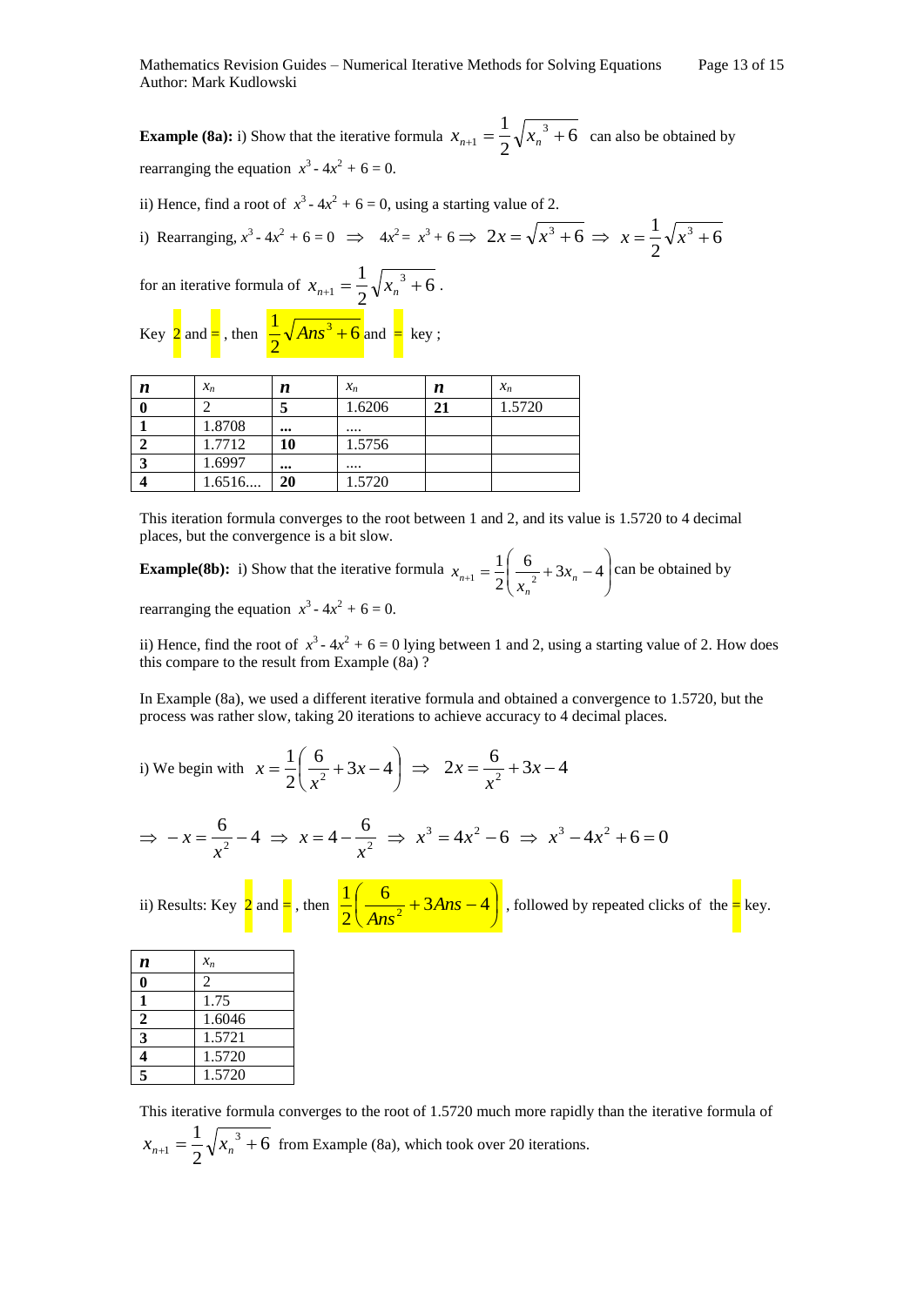**Example (8a):** i) Show that the iterative formula  $x_{n+1} = \frac{1}{2} \sqrt{x_n^3 + 6}$ 2  $x_{n+1} = \frac{1}{2} \sqrt{x_n^3 + 6}$  can also be obtained by rearranging the equation  $x^3 - 4x^2 + 6 = 0$ .

ii) Hence, find a root of  $x^3 - 4x^2 + 6 = 0$ , using a starting value of 2.

i) Rearranging, 
$$
x^3 - 4x^2 + 6 = 0 \implies 4x^2 = x^3 + 6 \implies 2x = \sqrt{x^3 + 6} \implies x = \frac{1}{2}\sqrt{x^3 + 6}
$$

for an iterative formula of 
$$
x_{n+1} = \frac{1}{2} \sqrt{x_n^3 + 6}
$$
.  
Key  $\frac{1}{2}$  and  $=$ , then  $\frac{1}{2} \sqrt{Ans^3 + 6}$  and  $=$  key;

| п | $x_n$  | n                       | $x_n$  | п  | $x_n$  |
|---|--------|-------------------------|--------|----|--------|
|   |        |                         | 1.6206 | 21 | 1.5720 |
|   | 1.8708 |                         |        |    |        |
|   | 1.7712 | 10                      | 1.5756 |    |        |
|   | 1.6997 | $\bullet\bullet\bullet$ |        |    |        |
|   | 1.6516 | 20                      | 1.5720 |    |        |

This iteration formula converges to the root between 1 and 2, and its value is 1.5720 to 4 decimal places, but the convergence is a bit slow.

**Example(8b):** i) Show that the iterative formula  $x_{n+1} = \frac{1}{2} \left| \frac{6}{x^2} + 3x_n - 4 \right|$ Ι  $\lambda$  $\overline{\phantom{a}}$  $\setminus$ ſ  $x_{n+1} = \frac{1}{2} \left( \frac{6}{2} + 3x_n - 4 \right)$ 2 1  $1 - \overline{2}$   $\overline{2} + 3\lambda_n$ *n*  $x_{n+1} = \frac{1}{2} \left( \frac{6}{x_n^2} + 3x \right)$  $x_{n+1} = \frac{1}{2} \left| \frac{0}{2} + 3x_n - 4 \right|$  can be obtained by rearranging the equation  $x^3 - 4x^2 + 6 = 0$ .

ii) Hence, find the root of  $x^3 - 4x^2 + 6 = 0$  lying between 1 and 2, using a starting value of 2. How does this compare to the result from Example (8a) ?

In Example (8a), we used a different iterative formula and obtained a convergence to 1.5720, but the process was rather slow, taking 20 iterations to achieve accuracy to 4 decimal places.

i) We begin with  $x = \frac{1}{2} \left| \frac{6}{2} + 3x - 4 \right|$ J  $\left(\frac{6}{2}+3x-4\right)$  $\setminus$  $=\frac{1}{2} \left( \frac{6}{2} + 3x - 4 \right)$ 2 1  $\frac{y}{2} + 3x$ *x*  $x = \frac{1}{2} \left( \frac{6}{x^2} + 3x - 4 \right) \implies 2x = \frac{6}{x^2} + 3x - 4$ *x x*

$$
\Rightarrow -x = \frac{6}{x^2} - 4 \Rightarrow x = 4 - \frac{6}{x^2} \Rightarrow x^3 = 4x^2 - 6 \Rightarrow x^3 - 4x^2 + 6 = 0
$$

ii) Results: Key  $2$  and  $=$  , then  $\frac{2}{\epsilon}$   $\frac{6}{\epsilon}$   $\frac{6}{\epsilon}$  + 3Ans - 4  $\overline{\phantom{a}}$  $\left(\frac{6}{1^2}+3Ans-4\right)$  $\overline{\mathcal{K}}$  $\frac{6}{1}$  + 3Ans - 4 2 1  $\frac{1}{2} + 3Ans$  $\frac{a}{\sqrt{Ans^2}} + 3Ans - 4$ , followed by repeated clicks of the  $\frac{a}{n}$  key.

| n                        | $x_n$  |
|--------------------------|--------|
|                          | 2      |
| 1                        | 1.75   |
| $\overline{2}$           | 1.6046 |
| 3                        | 1.5721 |
| 4                        | 1.5720 |
| $\overline{\phantom{a}}$ | 1.5720 |

This iterative formula converges to the root of 1.5720 much more rapidly than the iterative formula of 6 2  $x_{n+1} = \frac{1}{2} \sqrt{x_n^3 + 6}$  from Example (8a), which took over 20 iterations.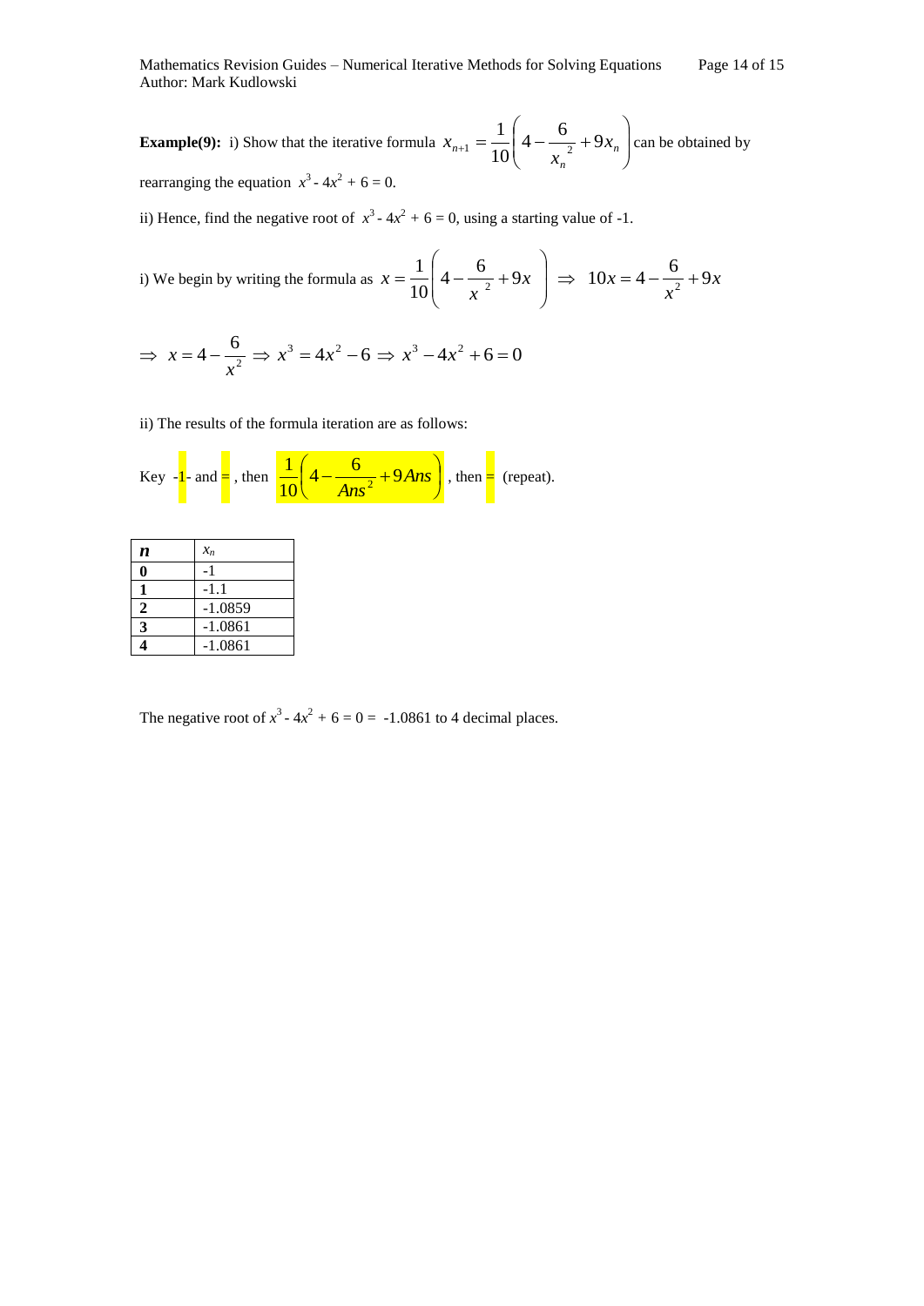**Example(9):** i) Show that the iterative formula  $x_{n+1} = \frac{1}{10} \left(4 - \frac{0}{x^2} + 9x_n\right)$  $\bigg)$  $\setminus$  $\overline{\phantom{a}}$  $\setminus$ ſ  $_{+1} = \frac{1}{10} \left| 4 - \frac{0}{2} + 9x_n \right|$ *n*  $a_{n+1} = \frac{1}{10} \left[ 4 - \frac{6}{2} + 9x \right]$ *x*  $x_{n+1} = \frac{1}{10} \left( 4 - \frac{6}{2} + 9 \right)$ 10 1  $\mathbf{z}_1 = \frac{1}{10} \left[ 4 - \frac{1}{2} + 9x_n \right]$  can be obtained by rearranging the equation  $x^3 - 4x^2 + 6 = 0$ .

ii) Hence, find the negative root of  $x^3 - 4x^2 + 6 = 0$ , using a starting value of -1.

i) We begin by writing the formula as 
$$
x = \frac{1}{10} \left( 4 - \frac{6}{x^2} + 9x \right) \implies 10x = 4 - \frac{6}{x^2} + 9x
$$

$$
\Rightarrow x = 4 - \frac{6}{x^2} \Rightarrow x^3 = 4x^2 - 6 \Rightarrow x^3 - 4x^2 + 6 = 0
$$

ii) The results of the formula iteration are as follows:

Key 
$$
-1
$$
 and  $=$ , then  $\frac{1}{10} \left(4 - \frac{6}{Ans^2} + 9Ans\right)$ , then  $=$  (repeat).

| n | $x_n$     |
|---|-----------|
|   |           |
|   | -1.1      |
| 2 | $-1.0859$ |
| 3 | $-1.0861$ |
|   | -1.0861   |

The negative root of  $x^3 - 4x^2 + 6 = 0 = -1.0861$  to 4 decimal places.